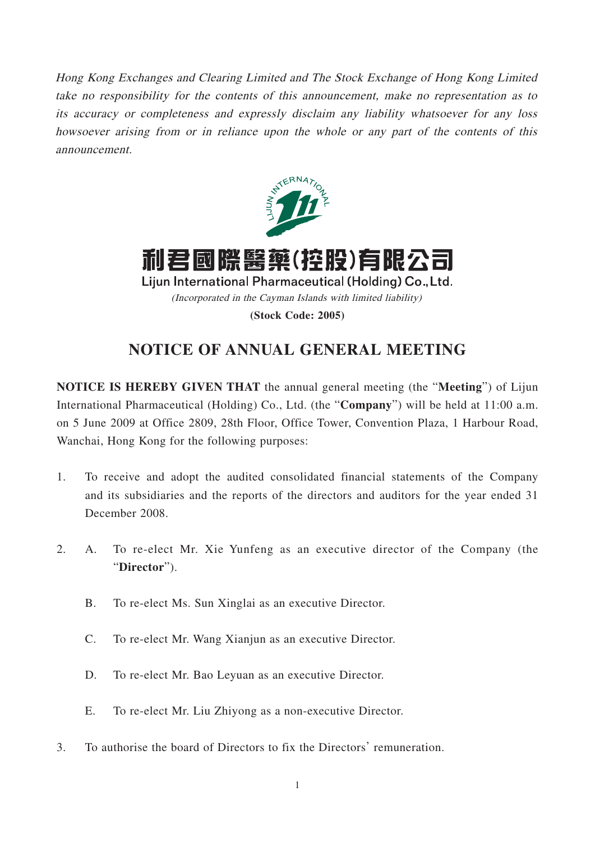Hong Kong Exchanges and Clearing Limited and The Stock Exchange of Hong Kong Limited take no responsibility for the contents of this announcement, make no representation as to its accuracy or completeness and expressly disclaim any liability whatsoever for any loss howsoever arising from or in reliance upon the whole or any part of the contents of this announcement.



利君國際醫藥(控股)有限公司 Lijun International Pharmaceutical (Holding) Co., Ltd. (Incorporated in the Cayman Islands with limited liability) **(Stock Code: 2005)**

# **NOTICE OF ANNUAL GENERAL MEETING**

**NOTICE IS HEREBY GIVEN THAT** the annual general meeting (the "**Meeting**") of Lijun International Pharmaceutical (Holding) Co., Ltd. (the "**Company**") will be held at 11:00 a.m. on 5 June 2009 at Office 2809, 28th Floor, Office Tower, Convention Plaza, 1 Harbour Road, Wanchai, Hong Kong for the following purposes:

- 1. To receive and adopt the audited consolidated financial statements of the Company and its subsidiaries and the reports of the directors and auditors for the year ended 31 December 2008.
- 2. A. To re-elect Mr. Xie Yunfeng as an executive director of the Company (the "**Director**").
	- B. To re-elect Ms. Sun Xinglai as an executive Director.
	- C. To re-elect Mr. Wang Xianjun as an executive Director.
	- D. To re-elect Mr. Bao Leyuan as an executive Director.
	- E. To re-elect Mr. Liu Zhiyong as a non-executive Director.
- 3. To authorise the board of Directors to fix the Directors' remuneration.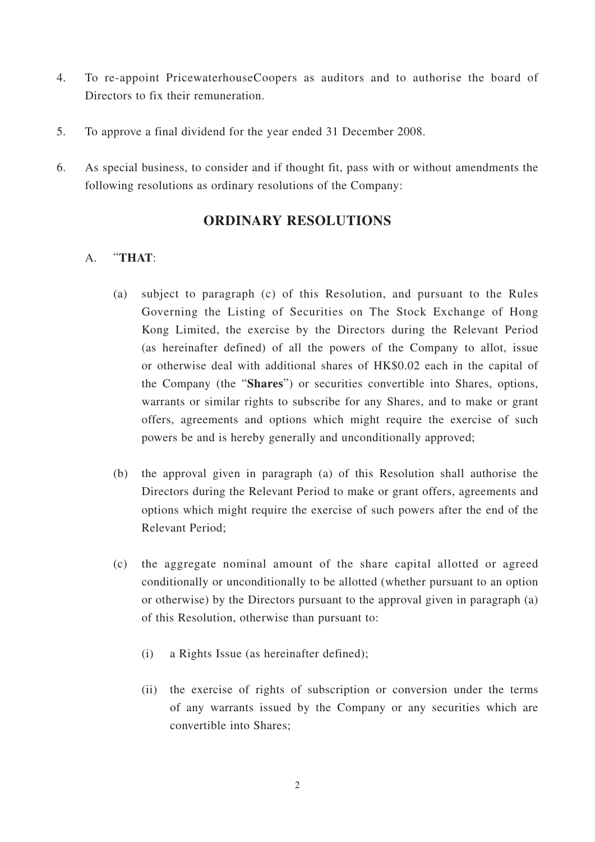- 4. To re-appoint PricewaterhouseCoopers as auditors and to authorise the board of Directors to fix their remuneration.
- 5. To approve a final dividend for the year ended 31 December 2008.
- 6. As special business, to consider and if thought fit, pass with or without amendments the following resolutions as ordinary resolutions of the Company:

## **ORDINARY RESOLUTIONS**

### A. "**THAT**:

- (a) subject to paragraph (c) of this Resolution, and pursuant to the Rules Governing the Listing of Securities on The Stock Exchange of Hong Kong Limited, the exercise by the Directors during the Relevant Period (as hereinafter defined) of all the powers of the Company to allot, issue or otherwise deal with additional shares of HK\$0.02 each in the capital of the Company (the "**Shares**") or securities convertible into Shares, options, warrants or similar rights to subscribe for any Shares, and to make or grant offers, agreements and options which might require the exercise of such powers be and is hereby generally and unconditionally approved;
- (b) the approval given in paragraph (a) of this Resolution shall authorise the Directors during the Relevant Period to make or grant offers, agreements and options which might require the exercise of such powers after the end of the Relevant Period;
- (c) the aggregate nominal amount of the share capital allotted or agreed conditionally or unconditionally to be allotted (whether pursuant to an option or otherwise) by the Directors pursuant to the approval given in paragraph (a) of this Resolution, otherwise than pursuant to:
	- (i) a Rights Issue (as hereinafter defined);
	- (ii) the exercise of rights of subscription or conversion under the terms of any warrants issued by the Company or any securities which are convertible into Shares;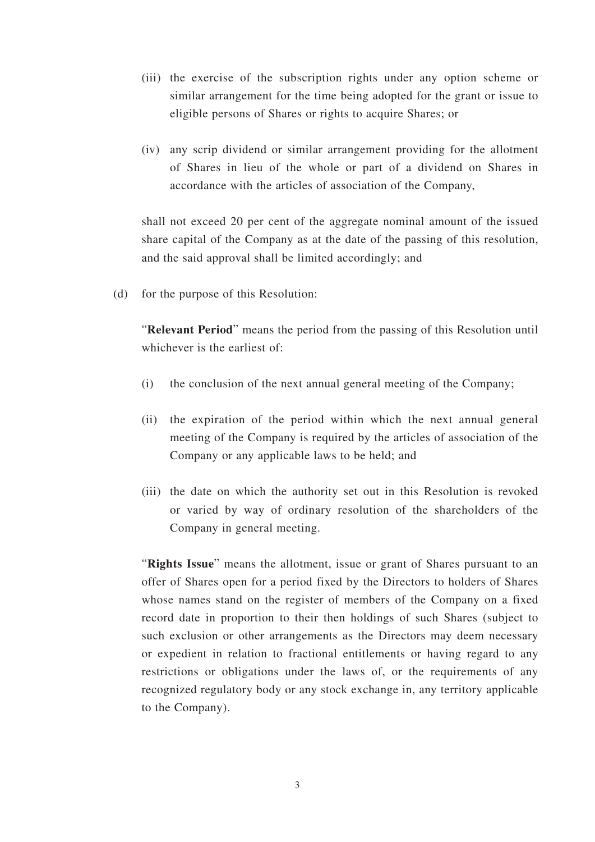- (iii) the exercise of the subscription rights under any option scheme or similar arrangement for the time being adopted for the grant or issue to eligible persons of Shares or rights to acquire Shares; or
- (iv) any scrip dividend or similar arrangement providing for the allotment of Shares in lieu of the whole or part of a dividend on Shares in accordance with the articles of association of the Company,

shall not exceed 20 per cent of the aggregate nominal amount of the issued share capital of the Company as at the date of the passing of this resolution, and the said approval shall be limited accordingly; and

(d) for the purpose of this Resolution:

"**Relevant Period**" means the period from the passing of this Resolution until whichever is the earliest of:

- (i) the conclusion of the next annual general meeting of the Company;
- (ii) the expiration of the period within which the next annual general meeting of the Company is required by the articles of association of the Company or any applicable laws to be held; and
- (iii) the date on which the authority set out in this Resolution is revoked or varied by way of ordinary resolution of the shareholders of the Company in general meeting.

"**Rights Issue**" means the allotment, issue or grant of Shares pursuant to an offer of Shares open for a period fixed by the Directors to holders of Shares whose names stand on the register of members of the Company on a fixed record date in proportion to their then holdings of such Shares (subject to such exclusion or other arrangements as the Directors may deem necessary or expedient in relation to fractional entitlements or having regard to any restrictions or obligations under the laws of, or the requirements of any recognized regulatory body or any stock exchange in, any territory applicable to the Company).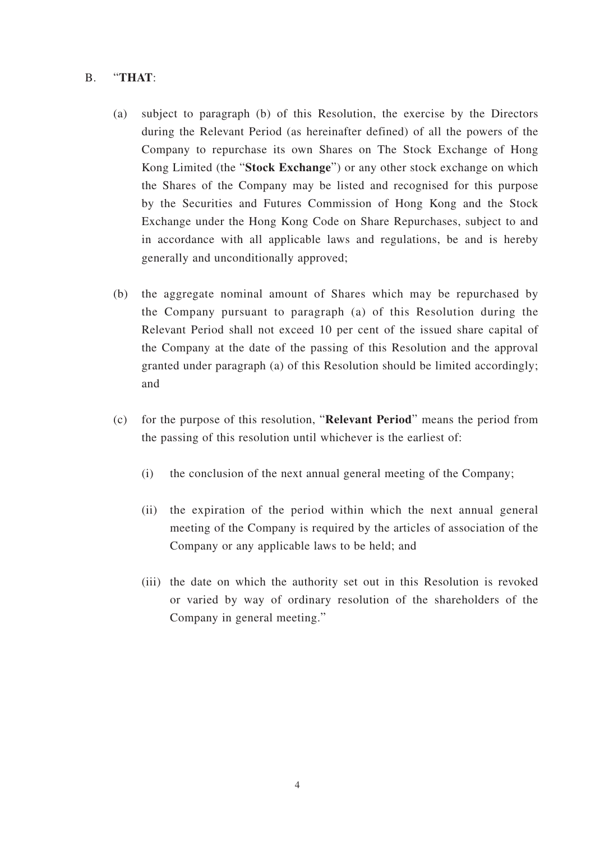#### B. "**THAT**:

- (a) subject to paragraph (b) of this Resolution, the exercise by the Directors during the Relevant Period (as hereinafter defined) of all the powers of the Company to repurchase its own Shares on The Stock Exchange of Hong Kong Limited (the "**Stock Exchange**") or any other stock exchange on which the Shares of the Company may be listed and recognised for this purpose by the Securities and Futures Commission of Hong Kong and the Stock Exchange under the Hong Kong Code on Share Repurchases, subject to and in accordance with all applicable laws and regulations, be and is hereby generally and unconditionally approved;
- (b) the aggregate nominal amount of Shares which may be repurchased by the Company pursuant to paragraph (a) of this Resolution during the Relevant Period shall not exceed 10 per cent of the issued share capital of the Company at the date of the passing of this Resolution and the approval granted under paragraph (a) of this Resolution should be limited accordingly; and
- (c) for the purpose of this resolution, "**Relevant Period**" means the period from the passing of this resolution until whichever is the earliest of:
	- (i) the conclusion of the next annual general meeting of the Company;
	- (ii) the expiration of the period within which the next annual general meeting of the Company is required by the articles of association of the Company or any applicable laws to be held; and
	- (iii) the date on which the authority set out in this Resolution is revoked or varied by way of ordinary resolution of the shareholders of the Company in general meeting."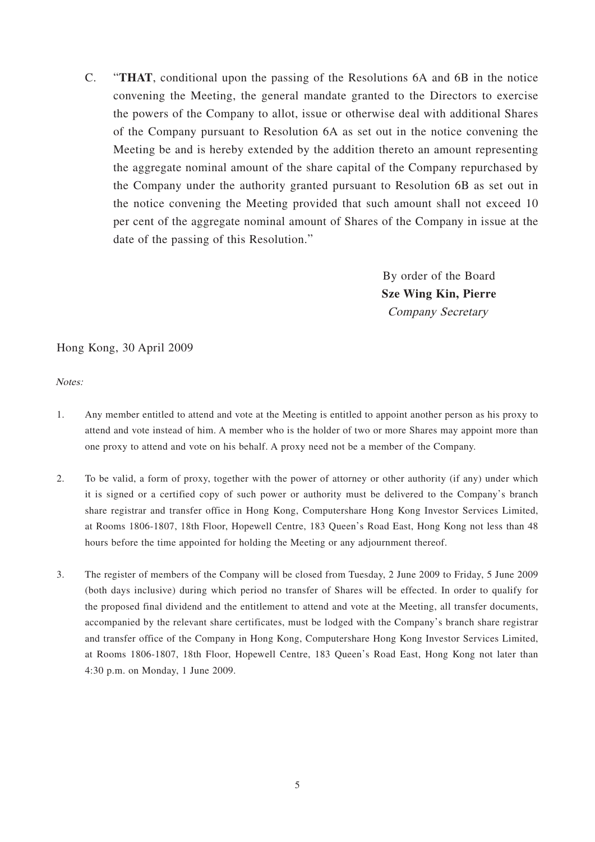C. "**THAT**, conditional upon the passing of the Resolutions 6A and 6B in the notice convening the Meeting, the general mandate granted to the Directors to exercise the powers of the Company to allot, issue or otherwise deal with additional Shares of the Company pursuant to Resolution 6A as set out in the notice convening the Meeting be and is hereby extended by the addition thereto an amount representing the aggregate nominal amount of the share capital of the Company repurchased by the Company under the authority granted pursuant to Resolution 6B as set out in the notice convening the Meeting provided that such amount shall not exceed 10 per cent of the aggregate nominal amount of Shares of the Company in issue at the date of the passing of this Resolution."

> By order of the Board **Sze Wing Kin, Pierre** Company Secretary

#### Hong Kong, 30 April 2009

Notes:

- 1. Any member entitled to attend and vote at the Meeting is entitled to appoint another person as his proxy to attend and vote instead of him. A member who is the holder of two or more Shares may appoint more than one proxy to attend and vote on his behalf. A proxy need not be a member of the Company.
- 2. To be valid, a form of proxy, together with the power of attorney or other authority (if any) under which it is signed or a certified copy of such power or authority must be delivered to the Company's branch share registrar and transfer office in Hong Kong, Computershare Hong Kong Investor Services Limited, at Rooms 1806-1807, 18th Floor, Hopewell Centre, 183 Queen's Road East, Hong Kong not less than 48 hours before the time appointed for holding the Meeting or any adjournment thereof.
- 3. The register of members of the Company will be closed from Tuesday, 2 June 2009 to Friday, 5 June 2009 (both days inclusive) during which period no transfer of Shares will be effected. In order to qualify for the proposed final dividend and the entitlement to attend and vote at the Meeting, all transfer documents, accompanied by the relevant share certificates, must be lodged with the Company's branch share registrar and transfer office of the Company in Hong Kong, Computershare Hong Kong Investor Services Limited, at Rooms 1806-1807, 18th Floor, Hopewell Centre, 183 Queen's Road East, Hong Kong not later than 4:30 p.m. on Monday, 1 June 2009.